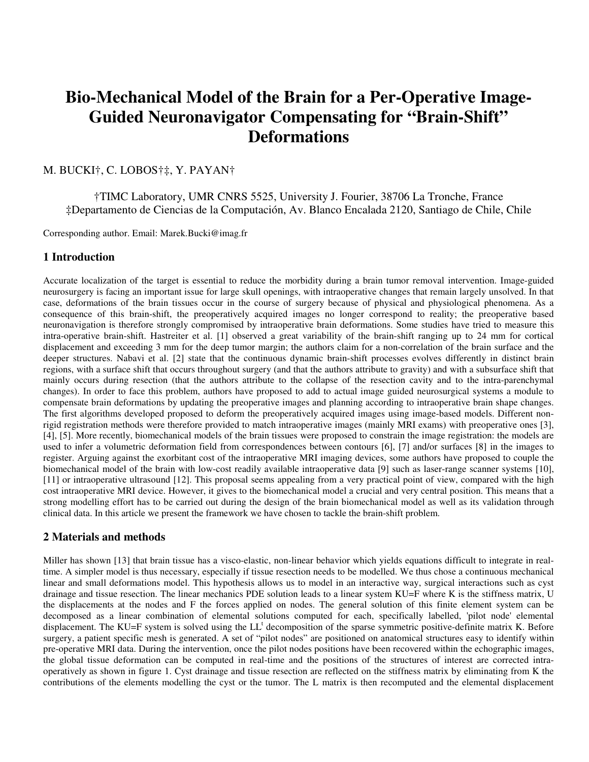# **Bio-Mechanical Model of the Brain for a Per-Operative Image-Guided Neuronavigator Compensating for "Brain-Shift" Deformations**

# M. BUCKI†, C. LOBOS†‡, Y. PAYAN†

†TIMC Laboratory, UMR CNRS 5525, University J. Fourier, 38706 La Tronche, France ‡Departamento de Ciencias de la Computación, Av. Blanco Encalada 2120, Santiago de Chile, Chile

Corresponding author. Email: Marek.Bucki@imag.fr

#### **1 Introduction**

Accurate localization of the target is essential to reduce the morbidity during a brain tumor removal intervention. Image-guided neurosurgery is facing an important issue for large skull openings, with intraoperative changes that remain largely unsolved. In that case, deformations of the brain tissues occur in the course of surgery because of physical and physiological phenomena. As a consequence of this brain-shift, the preoperatively acquired images no longer correspond to reality; the preoperative based neuronavigation is therefore strongly compromised by intraoperative brain deformations. Some studies have tried to measure this intra-operative brain-shift. Hastreiter et al. [1] observed a great variability of the brain-shift ranging up to 24 mm for cortical displacement and exceeding 3 mm for the deep tumor margin; the authors claim for a non-correlation of the brain surface and the deeper structures. Nabavi et al. [2] state that the continuous dynamic brain-shift processes evolves differently in distinct brain regions, with a surface shift that occurs throughout surgery (and that the authors attribute to gravity) and with a subsurface shift that mainly occurs during resection (that the authors attribute to the collapse of the resection cavity and to the intra-parenchymal changes). In order to face this problem, authors have proposed to add to actual image guided neurosurgical systems a module to compensate brain deformations by updating the preoperative images and planning according to intraoperative brain shape changes. The first algorithms developed proposed to deform the preoperatively acquired images using image-based models. Different nonrigid registration methods were therefore provided to match intraoperative images (mainly MRI exams) with preoperative ones [3], [4], [5]. More recently, biomechanical models of the brain tissues were proposed to constrain the image registration: the models are used to infer a volumetric deformation field from correspondences between contours [6], [7] and/or surfaces [8] in the images to register. Arguing against the exorbitant cost of the intraoperative MRI imaging devices, some authors have proposed to couple the biomechanical model of the brain with low-cost readily available intraoperative data [9] such as laser-range scanner systems [10], [11] or intraoperative ultrasound [12]. This proposal seems appealing from a very practical point of view, compared with the high cost intraoperative MRI device. However, it gives to the biomechanical model a crucial and very central position. This means that a strong modelling effort has to be carried out during the design of the brain biomechanical model as well as its validation through clinical data. In this article we present the framework we have chosen to tackle the brain-shift problem.

### **2 Materials and methods**

Miller has shown [13] that brain tissue has a visco-elastic, non-linear behavior which yields equations difficult to integrate in realtime. A simpler model is thus necessary, especially if tissue resection needs to be modelled. We thus chose a continuous mechanical linear and small deformations model. This hypothesis allows us to model in an interactive way, surgical interactions such as cyst drainage and tissue resection. The linear mechanics PDE solution leads to a linear system KU=F where K is the stiffness matrix, U the displacements at the nodes and F the forces applied on nodes. The general solution of this finite element system can be decomposed as a linear combination of elemental solutions computed for each, specifically labelled, 'pilot node' elemental displacement. The KU=F system is solved using the LL<sup>t</sup> decomposition of the sparse symmetric positive-definite matrix K. Before surgery, a patient specific mesh is generated. A set of "pilot nodes" are positioned on anatomical structures easy to identify within pre-operative MRI data. During the intervention, once the pilot nodes positions have been recovered within the echographic images, the global tissue deformation can be computed in real-time and the positions of the structures of interest are corrected intraoperatively as shown in figure 1. Cyst drainage and tissue resection are reflected on the stiffness matrix by eliminating from K the contributions of the elements modelling the cyst or the tumor. The L matrix is then recomputed and the elemental displacement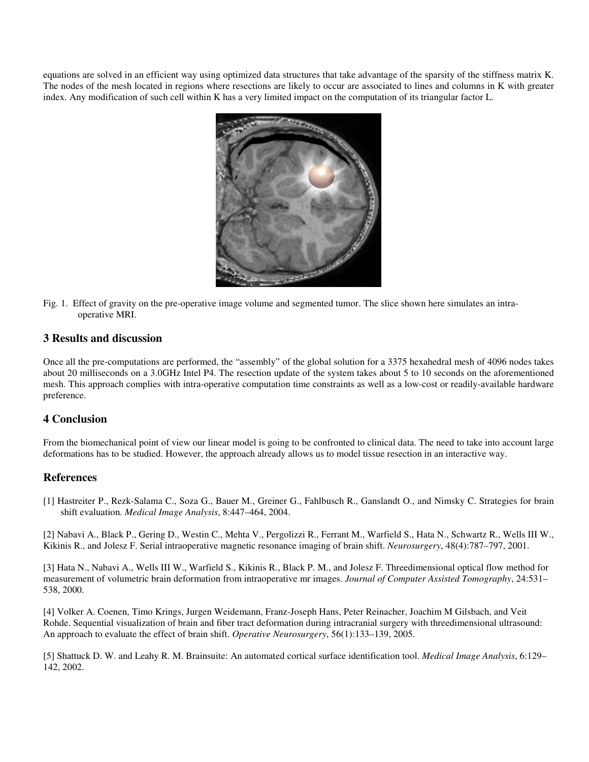equations are solved in an efficient way using optimized data structures that take advantage of the sparsity of the stiffness matrix K. The nodes of the mesh located in regions where resections are likely to occur are associated to lines and columns in K with greater index. Any modification of such cell within K has a very limited impact on the computation of its triangular factor L.



Fig. 1. Effect of gravity on the pre-operative image volume and segmented tumor. The slice shown here simulates an intraoperative MRI.

#### **3 Results and discussion**

Once all the pre-computations are performed, the "assembly" of the global solution for a 3375 hexahedral mesh of 4096 nodes takes about 20 milliseconds on a 3.0GHz Intel P4. The resection update of the system takes about 5 to 10 seconds on the aforementioned mesh. This approach complies with intra-operative computation time constraints as well as a low-cost or readily-available hardware preference.

## **4 Conclusion**

From the biomechanical point of view our linear model is going to be confronted to clinical data. The need to take into account large deformations has to be studied. However, the approach already allows us to model tissue resection in an interactive way.

#### **References**

[1] Hastreiter P., Rezk-Salama C., Soza G., Bauer M., Greiner G., Fahlbusch R., Ganslandt O., and Nimsky C. Strategies for brain shift evaluation. *Medical Image Analysis*, 8:447–464, 2004.

[2] Nabavi A., Black P., Gering D., Westin C., Mehta V., Pergolizzi R., Ferrant M., Warfield S., Hata N., Schwartz R., Wells III W., Kikinis R., and Jolesz F. Serial intraoperative magnetic resonance imaging of brain shift. *Neurosurgery*, 48(4):787–797, 2001.

[3] Hata N., Nabavi A., Wells III W., Warfield S., Kikinis R., Black P. M., and Jolesz F. Threedimensional optical flow method for measurement of volumetric brain deformation from intraoperative mr images. *Journal of Computer Assisted Tomography*, 24:531– 538, 2000.

[4] Volker A. Coenen, Timo Krings, Jurgen Weidemann, Franz-Joseph Hans, Peter Reinacher, Joachim M Gilsbach, and Veit Rohde. Sequential visualization of brain and fiber tract deformation during intracranial surgery with threedimensional ultrasound: An approach to evaluate the effect of brain shift. *Operative Neurosurgery*, 56(1):133–139, 2005.

[5] Shattuck D. W. and Leahy R. M. Brainsuite: An automated cortical surface identification tool. *Medical Image Analysis*, 6:129– 142, 2002.